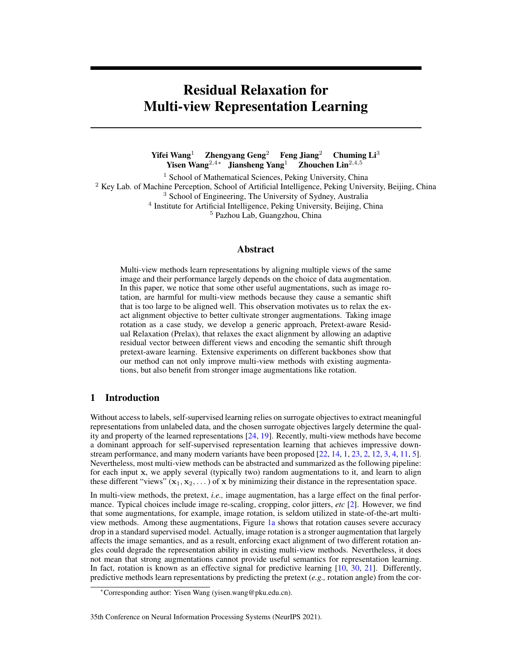# <span id="page-0-0"></span>Residual Relaxation for Multi-view Representation Learning

Yifei Wang<sup>1</sup> Zhengyang Geng<sup>2</sup> Feng Jiang<sup>2</sup> Chuming Li<sup>3</sup> Yisen Wang<sup>2,4∗</sup> Jiansheng Yang<sup>1</sup> Zhouchen Lin<sup>2,4,5</sup>

<sup>1</sup> School of Mathematical Sciences, Peking University, China <sup>2</sup> Key Lab. of Machine Perception, School of Artificial Intelligence, Peking University, Beijing, China <sup>3</sup> School of Engineering, The University of Sydney, Australia <sup>4</sup> Institute for Artificial Intelligence, Peking University, Beijing, China <sup>5</sup> Pazhou Lab, Guangzhou, China

## Abstract

Multi-view methods learn representations by aligning multiple views of the same image and their performance largely depends on the choice of data augmentation. In this paper, we notice that some other useful augmentations, such as image rotation, are harmful for multi-view methods because they cause a semantic shift that is too large to be aligned well. This observation motivates us to relax the exact alignment objective to better cultivate stronger augmentations. Taking image rotation as a case study, we develop a generic approach, Pretext-aware Residual Relaxation (Prelax), that relaxes the exact alignment by allowing an adaptive residual vector between different views and encoding the semantic shift through pretext-aware learning. Extensive experiments on different backbones show that our method can not only improve multi-view methods with existing augmentations, but also benefit from stronger image augmentations like rotation.

# 1 Introduction

Without access to labels, self-supervised learning relies on surrogate objectives to extract meaningful representations from unlabeled data, and the chosen surrogate objectives largely determine the quality and property of the learned representations [\[24,](#page-11-0) [19\]](#page-10-0). Recently, multi-view methods have become a dominant approach for self-supervised representation learning that achieves impressive downstream performance, and many modern variants have been proposed [\[22,](#page-11-1) [14,](#page-10-1) [1,](#page-10-2) [23,](#page-11-2) [2,](#page-10-3) [12,](#page-10-4) [3,](#page-10-5) [4,](#page-10-6) [11,](#page-10-7) [5\]](#page-10-8). Nevertheless, most multi-view methods can be abstracted and summarized as the following pipeline: for each input x, we apply several (typically two) random augmentations to it, and learn to align these different "views" ( $x_1, x_2, \ldots$ ) of x by minimizing their distance in the representation space.

In multi-view methods, the pretext, *i.e.,* image augmentation, has a large effect on the final performance. Typical choices include image re-scaling, cropping, color jitters, *etc* [\[2\]](#page-10-3). However, we find that some augmentations, for example, image rotation, is seldom utilized in state-of-the-art multiview methods. Among these augmentations, Figure [1a](#page-1-0) shows that rotation causes severe accuracy drop in a standard supervised model. Actually, image rotation is a stronger augmentation that largely affects the image semantics, and as a result, enforcing exact alignment of two different rotation angles could degrade the representation ability in existing multi-view methods. Nevertheless, it does not mean that strong augmentations cannot provide useful semantics for representation learning. In fact, rotation is known as an effective signal for predictive learning  $[10, 30, 21]$  $[10, 30, 21]$  $[10, 30, 21]$  $[10, 30, 21]$  $[10, 30, 21]$ . Differently, predictive methods learn representations by predicting the pretext (*e.g.,* rotation angle) from the cor-

#### 35th Conference on Neural Information Processing Systems (NeurIPS 2021).

<sup>∗</sup>Corresponding author: Yisen Wang (yisen.wang@pku.edu.cn).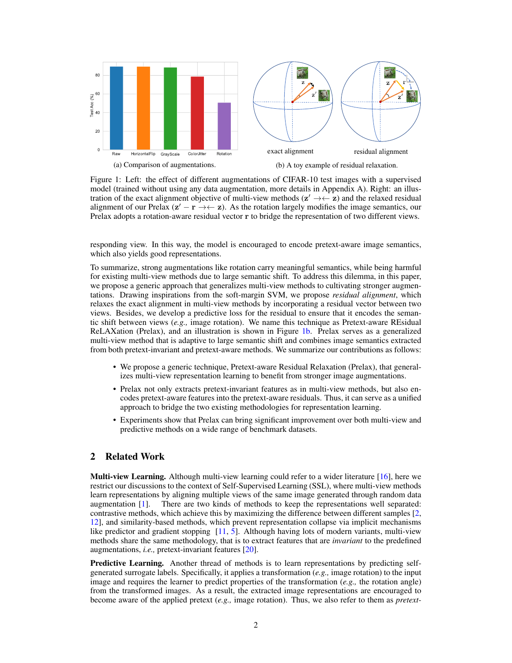<span id="page-1-1"></span><span id="page-1-0"></span>

Figure 1: Left: the effect of different augmentations of CIFAR-10 test images with a supervised model (trained without using any data augmentation, more details in Appendix A). Right: an illustration of the exact alignment objective of multi-view methods  $(z' \rightarrow \leftarrow z)$  and the relaxed residual alignment of our Prelax  $(z' - r \rightarrow \leftarrow z)$ . As the rotation largely modifies the image semantics, our Prelax adopts a rotation-aware residual vector r to bridge the representation of two different views.

responding view. In this way, the model is encouraged to encode pretext-aware image semantics, which also yields good representations.

To summarize, strong augmentations like rotation carry meaningful semantics, while being harmful for existing multi-view methods due to large semantic shift. To address this dilemma, in this paper, we propose a generic approach that generalizes multi-view methods to cultivating stronger augmentations. Drawing inspirations from the soft-margin SVM, we propose *residual alignment*, which relaxes the exact alignment in multi-view methods by incorporating a residual vector between two views. Besides, we develop a predictive loss for the residual to ensure that it encodes the semantic shift between views (*e.g.,* image rotation). We name this technique as Pretext-aware REsidual ReLAXation (Prelax), and an illustration is shown in Figure [1b.](#page-1-0) Prelax serves as a generalized multi-view method that is adaptive to large semantic shift and combines image semantics extracted from both pretext-invariant and pretext-aware methods. We summarize our contributions as follows:

- We propose a generic technique, Pretext-aware Residual Relaxation (Prelax), that generalizes multi-view representation learning to benefit from stronger image augmentations.
- Prelax not only extracts pretext-invariant features as in multi-view methods, but also encodes pretext-aware features into the pretext-aware residuals. Thus, it can serve as a unified approach to bridge the two existing methodologies for representation learning.
- Experiments show that Prelax can bring significant improvement over both multi-view and predictive methods on a wide range of benchmark datasets.

# 2 Related Work

**Multi-view Learning.** Although multi-view learning could refer to a wider literature [\[16\]](#page-10-10), here we restrict our discussions to the context of Self-Supervised Learning (SSL), where multi-view methods learn representations by aligning multiple views of the same image generated through random data augmentation [\[1\]](#page-10-2). There are two kinds of methods to keep the representations well separated: contrastive methods, which achieve this by maximizing the difference between different samples [\[2,](#page-10-3) [12\]](#page-10-4), and similarity-based methods, which prevent representation collapse via implicit mechanisms like predictor and gradient stopping [\[11,](#page-10-7) [5\]](#page-10-8). Although having lots of modern variants, multi-view methods share the same methodology, that is to extract features that are *invariant* to the predefined augmentations, *i.e.,* pretext-invariant features [\[20\]](#page-10-11).

Predictive Learning. Another thread of methods is to learn representations by predicting selfgenerated surrogate labels. Specifically, it applies a transformation (*e.g.,* image rotation) to the input image and requires the learner to predict properties of the transformation (*e.g.,* the rotation angle) from the transformed images. As a result, the extracted image representations are encouraged to become aware of the applied pretext (*e.g.,* image rotation). Thus, we also refer to them as *pretext-*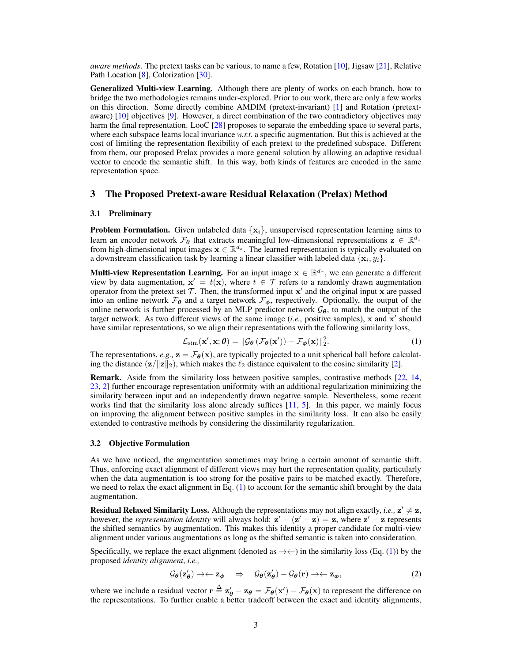<span id="page-2-1"></span>*aware methods*. The pretext tasks can be various, to name a few, Rotation [\[10\]](#page-10-9), Jigsaw [\[21\]](#page-11-4), Relative Path Location [\[8\]](#page-10-12), Colorization [\[30\]](#page-11-3).

Generalized Multi-view Learning. Although there are plenty of works on each branch, how to bridge the two methodologies remains under-explored. Prior to our work, there are only a few works on this direction. Some directly combine AMDIM (pretext-invariant) [\[1\]](#page-10-2) and Rotation (pretextaware) [\[10\]](#page-10-9) objectives [\[9\]](#page-10-13). However, a direct combination of the two contradictory objectives may harm the final representation. LooC [\[28\]](#page-11-5) proposes to separate the embedding space to several parts, where each subspace learns local invariance *w.r.t.* a specific augmentation. But this is achieved at the cost of limiting the representation flexibility of each pretext to the predefined subspace. Different from them, our proposed Prelax provides a more general solution by allowing an adaptive residual vector to encode the semantic shift. In this way, both kinds of features are encoded in the same representation space.

## 3 The Proposed Pretext-aware Residual Relaxation (Prelax) Method

#### 3.1 Preliminary

**Problem Formulation.** Given unlabeled data  $\{x_i\}$ , unsupervised representation learning aims to learn an encoder network  $\mathcal{F}_{\theta}$  that extracts meaningful low-dimensional representations  $\mathbf{z} \in \mathbb{R}^{d_z}$ from high-dimensional input images  $\mathbf{x} \in \mathbb{R}^{d_x}$ . The learned representation is typically evaluated on a downstream classification task by learning a linear classifier with labeled data  $\{x_i, y_i\}$ .

**Multi-view Representation Learning.** For an input image  $x \in \mathbb{R}^{d_x}$ , we can generate a different view by data augmentation,  $x' = t(x)$ , where  $t \in \mathcal{T}$  refers to a randomly drawn augmentation operator from the pretext set  $\mathcal T$ . Then, the transformed input  $x'$  and the original input x are passed into an online network  $\mathcal{F}_{\theta}$  and a target network  $\mathcal{F}_{\phi}$ , respectively. Optionally, the output of the online network is further processed by an MLP predictor network  $G_{\theta}$ , to match the output of the target network. As two different views of the same image  $(i.e.,$  positive samples), x and x' should have similar representations, so we align their representations with the following similarity loss,

<span id="page-2-0"></span>
$$
\mathcal{L}_{\text{sim}}(\mathbf{x}', \mathbf{x}; \boldsymbol{\theta}) = \|\mathcal{G}_{\boldsymbol{\theta}}\left(\mathcal{F}_{\boldsymbol{\theta}}(\mathbf{x}')\right) - \mathcal{F}_{\boldsymbol{\phi}}(\mathbf{x})\|_2^2.
$$
 (1)

The representations,  $e.g., \mathbf{z} = \mathcal{F}_{\theta}(\mathbf{x})$ , are typically projected to a unit spherical ball before calculating the distance  $(\mathbf{z}/\|\mathbf{z}\|_2)$ , which makes the  $\ell_2$  distance equivalent to the cosine similarity [\[2\]](#page-10-3).

Remark. Aside from the similarity loss between positive samples, contrastive methods [\[22,](#page-11-1) [14,](#page-10-1) [23,](#page-11-2) [2\]](#page-10-3) further encourage representation uniformity with an additional regularization minimizing the similarity between input and an independently drawn negative sample. Nevertheless, some recent works find that the similarity loss alone already suffices [\[11,](#page-10-7) [5\]](#page-10-8). In this paper, we mainly focus on improving the alignment between positive samples in the similarity loss. It can also be easily extended to contrastive methods by considering the dissimilarity regularization.

#### 3.2 Objective Formulation

As we have noticed, the augmentation sometimes may bring a certain amount of semantic shift. Thus, enforcing exact alignment of different views may hurt the representation quality, particularly when the data augmentation is too strong for the positive pairs to be matched exactly. Therefore, we need to relax the exact alignment in Eq.  $(1)$  to account for the semantic shift brought by the data augmentation.

**Residual Relaxed Similarity Loss.** Although the representations may not align exactly, *i.e.*,  $z' \neq z$ , however, the *representation identity* will always hold:  $z' - (z' - z) = z$ , where  $z' - z$  represents the shifted semantics by augmentation. This makes this identity a proper candidate for multi-view alignment under various augmentations as long as the shifted semantic is taken into consideration.

Specifically, we replace the exact alignment (denoted as  $\rightarrow \leftarrow$ ) in the similarity loss (Eq. [\(1\)](#page-2-0)) by the proposed *identity alignment*, *i.e.,*

$$
\mathcal{G}_{\theta}(\mathbf{z}'_{\theta}) \to \leftarrow \mathbf{z}_{\phi} \quad \Rightarrow \quad \mathcal{G}_{\theta}(\mathbf{z}'_{\theta}) - \mathcal{G}_{\theta}(\mathbf{r}) \to \leftarrow \mathbf{z}_{\phi}, \tag{2}
$$

where we include a residual vector  $\mathbf{r} \triangleq \mathbf{z}'_{\theta} - \mathbf{z}_{\theta} = \mathcal{F}_{\theta}(\mathbf{x}') - \mathcal{F}_{\theta}(\mathbf{x})$  to represent the difference on the representations. To further enable a better tradeoff between the exact and identity alignments,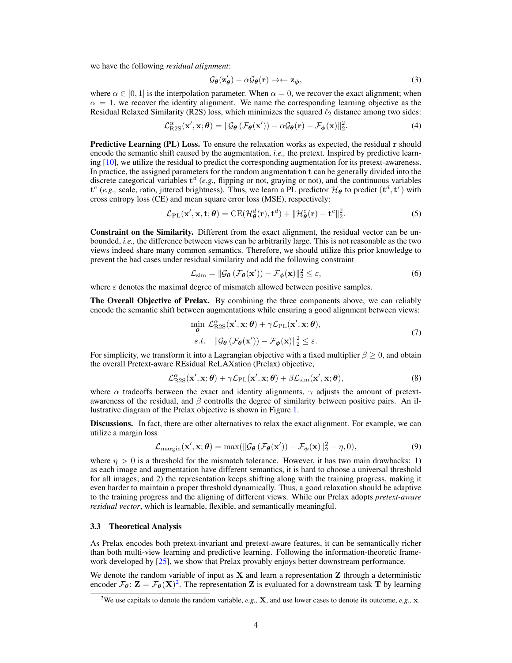<span id="page-3-5"></span>we have the following *residual alignment*:

$$
\mathcal{G}_{\theta}(\mathbf{z}'_{\theta}) - \alpha \mathcal{G}_{\theta}(\mathbf{r}) \rightarrow \leftarrow \mathbf{z}_{\phi},\tag{3}
$$

where  $\alpha \in [0, 1]$  is the interpolation parameter. When  $\alpha = 0$ , we recover the exact alignment; when  $\alpha = 1$ , we recover the identity alignment. We name the corresponding learning objective as the Residual Relaxed Similarity (R2S) loss, which minimizes the squared  $\ell_2$  distance among two sides:

<span id="page-3-1"></span>
$$
\mathcal{L}^{\alpha}_{\text{R2S}}(\mathbf{x}', \mathbf{x}; \boldsymbol{\theta}) = ||\mathcal{G}_{\boldsymbol{\theta}}(\mathcal{F}_{\boldsymbol{\theta}}(\mathbf{x}')) - \alpha \mathcal{G}_{\boldsymbol{\theta}}(\mathbf{r}) - \mathcal{F}_{\boldsymbol{\phi}}(\mathbf{x})||_2^2.
$$
 (4)

Predictive Learning (PL) Loss. To ensure the relaxation works as expected, the residual r should encode the semantic shift caused by the augmentation, *i.e.,* the pretext. Inspired by predictive learning [\[10\]](#page-10-9), we utilize the residual to predict the corresponding augmentation for its pretext-awareness. In practice, the assigned parameters for the random augmentation t can be generally divided into the discrete categorical variables  $t^d$  (e.g., flipping or not, graying or not), and the continuous variables  $\mathbf{t}^c$  (*e.g.*, scale, ratio, jittered brightness). Thus, we learn a PL predictor  $\mathcal{H}_{\theta}$  to predict ( $\mathbf{t}^d, \mathbf{t}^c$ ) with cross entropy loss (CE) and mean square error loss (MSE), respectively:

<span id="page-3-2"></span>
$$
\mathcal{L}_{\rm PL}(\mathbf{x}', \mathbf{x}, \mathbf{t}; \boldsymbol{\theta}) = \mathrm{CE}(\mathcal{H}_{\boldsymbol{\theta}}^d(\mathbf{r}), \mathbf{t}^d) + \|\mathcal{H}_{\boldsymbol{\theta}}^c(\mathbf{r}) - \mathbf{t}^c\|_2^2.
$$
 (5)

Constraint on the Similarity. Different from the exact alignment, the residual vector can be unbounded, *i.e.,* the difference between views can be arbitrarily large. This is not reasonable as the two views indeed share many common semantics. Therefore, we should utilize this prior knowledge to prevent the bad cases under residual similarity and add the following constraint

$$
\mathcal{L}_{\text{sim}} = \|\mathcal{G}_{\theta}\left(\mathcal{F}_{\theta}(\mathbf{x}')\right) - \mathcal{F}_{\phi}(\mathbf{x})\|_{2}^{2} \le \varepsilon,\tag{6}
$$

where  $\varepsilon$  denotes the maximal degree of mismatch allowed between positive samples.

The Overall Objective of Prelax. By combining the three components above, we can reliably encode the semantic shift between augmentations while ensuring a good alignment between views:

<span id="page-3-3"></span>
$$
\min_{\theta} \mathcal{L}_{\text{R2S}}^{\alpha}(\mathbf{x}', \mathbf{x}; \theta) + \gamma \mathcal{L}_{\text{PL}}(\mathbf{x}', \mathbf{x}; \theta),
$$
  
s.t. 
$$
\|\mathcal{G}_{\theta}(\mathcal{F}_{\theta}(\mathbf{x}')) - \mathcal{F}_{\phi}(\mathbf{x})\|_{2}^{2} \leq \varepsilon.
$$
 (7)

For simplicity, we transform it into a Lagrangian objective with a fixed multiplier  $\beta \geq 0$ , and obtain the overall Pretext-aware REsidual ReLAXation (Prelax) objective,

$$
\mathcal{L}_{\text{R2S}}^{\alpha}(\mathbf{x}', \mathbf{x}; \boldsymbol{\theta}) + \gamma \mathcal{L}_{\text{PL}}(\mathbf{x}', \mathbf{x}; \boldsymbol{\theta}) + \beta \mathcal{L}_{\text{sim}}(\mathbf{x}', \mathbf{x}; \boldsymbol{\theta}),
$$
\n(8)

where  $\alpha$  tradeoffs between the exact and identity alignments,  $\gamma$  adjusts the amount of pretextawareness of the residual, and  $\beta$  controlls the degree of similarity between positive pairs. An illustrative diagram of the Prelax objective is shown in Figure [1.](#page-1-0)

Discussions. In fact, there are other alternatives to relax the exact alignment. For example, we can utilize a margin loss

<span id="page-3-4"></span>
$$
\mathcal{L}_{\text{margin}}(\mathbf{x}', \mathbf{x}; \boldsymbol{\theta}) = \max(||\mathcal{G}_{\boldsymbol{\theta}}(\mathcal{F}_{\boldsymbol{\theta}}(\mathbf{x}')) - \mathcal{F}_{\boldsymbol{\phi}}(\mathbf{x})||_2^2 - \eta, 0),
$$
\n(9)

where  $\eta > 0$  is a threshold for the mismatch tolerance. However, it has two main drawbacks: 1) as each image and augmentation have different semantics, it is hard to choose a universal threshold for all images; and 2) the representation keeps shifting along with the training progress, making it even harder to maintain a proper threshold dynamically. Thus, a good relaxation should be adaptive to the training progress and the aligning of different views. While our Prelax adopts *pretext-aware residual vector*, which is learnable, flexible, and semantically meaningful.

## 3.3 Theoretical Analysis

As Prelax encodes both pretext-invariant and pretext-aware features, it can be semantically richer than both multi-view learning and predictive learning. Following the information-theoretic framework developed by [\[25\]](#page-11-6), we show that Prelax provably enjoys better downstream performance.

We denote the random variable of input as  $X$  and learn a representation  $Z$  through a deterministic encoder  $\mathcal{F}_{\theta}$ :  $\mathbf{Z} = \mathcal{F}_{\theta}(\mathbf{X})^2$  $\mathbf{Z} = \mathcal{F}_{\theta}(\mathbf{X})^2$ . The representation **Z** is evaluated for a downstream task **T** by learning

<span id="page-3-0"></span><sup>2</sup>We use capitals to denote the random variable, *e.g.,* X, and use lower cases to denote its outcome, *e.g.,* x.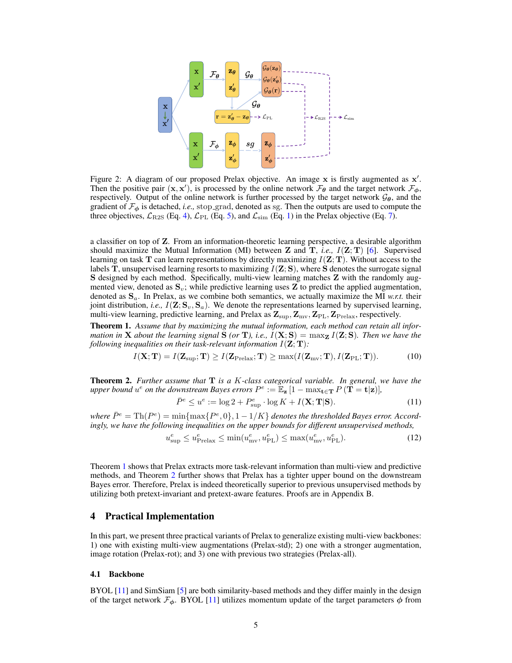<span id="page-4-2"></span>

Figure 2: A diagram of our proposed Prelax objective. An image  $x$  is firstly augmented as  $x'$ . Then the positive pair  $(x, x')$ , is processed by the online network  $\mathcal{F}_{\theta}$  and the target network  $\mathcal{F}_{\phi}$ , respectively. Output of the online network is further processed by the target network  $\mathcal{G}_{\theta}$ , and the gradient of  $\mathcal{F}_{\phi}$  is detached, *i.e.*, stop-grad, denoted as sg. Then the outputs are used to compute the three objectives,  $\mathcal{L}_{\text{R2S}}$  (Eq. [4\)](#page-3-1),  $\mathcal{L}_{\text{PL}}$  (Eq. [5\)](#page-3-2), and  $\mathcal{L}_{\text{sim}}$  (Eq. [1\)](#page-2-0) in the Prelax objective (Eq. [7\)](#page-3-3).

a classifier on top of Z. From an information-theoretic learning perspective, a desirable algorithm should maximize the Mutual Information (MI) between **Z** and **T**, *i.e.*,  $I(Z;T)$  [\[6\]](#page-10-14). Supervised learning on task  $T$  can learn representations by directly maximizing  $I(Z; T)$ . Without access to the labels T, unsupervised learning resorts to maximizing  $I(Z; S)$ , where S denotes the surrogate signal S designed by each method. Specifically, multi-view learning matches Z with the randomly augmented view, denoted as  $S_v$ ; while predictive learning uses **Z** to predict the applied augmentation, denoted as  $S_a$ . In Prelax, as we combine both semantics, we actually maximize the MI *w.r.t.* their joint distribution, *i.e.*,  $I(\mathbf{Z}; \mathbf{S}_v, \mathbf{S}_a)$ . We denote the representations learned by supervised learning, multi-view learning, predictive learning, and Prelax as  $\mathbf{Z}_{\text{sup}}, \mathbf{Z}_{\text{mv}}, \mathbf{Z}_{\text{PL}}, \mathbf{Z}_{\text{Prelax}}$ , respectively.

Theorem 1. *Assume that by maximizing the mutual information, each method can retain all information in* **X** *about the learning signal*  $\tilde{S}$  *(or* **T***), i.e.,*  $I(X; S) = \max_{I} I(Z; S)$ *. Then we have the following inequalities on their task-relevant information*  $I(\mathbf{Z}; \mathbf{T})$ *:* 

$$
I(\mathbf{X}; \mathbf{T}) = I(\mathbf{Z}_{\text{sup}}; \mathbf{T}) \ge I(\mathbf{Z}_{\text{Prelax}}; \mathbf{T}) \ge \max(I(\mathbf{Z}_{\text{mv}}; \mathbf{T}), I(\mathbf{Z}_{\text{PL}}; \mathbf{T})).
$$
 (10)

Theorem 2. *Further assume that* T *is a* K*-class categorical variable. In general, we have the* upper bound  $u^e$  on the downstream Bayes errors  $P^e := \mathbb{E}_\mathbf{z} [1 - \max_{\mathbf{t} \in \mathbf{T}} P(T = \mathbf{t} | \mathbf{z})]$ ,

<span id="page-4-0"></span>
$$
\bar{P}^e \le u^e := \log 2 + P^e_{\sup} \cdot \log K + I(\mathbf{X}; \mathbf{T} | \mathbf{S}). \tag{11}
$$

 $\mathbb{E}e^{\beta E} = \text{Th}(P^e) = \min\{\max\{P^e, 0\}, 1 - 1/K\}$  denotes the thresholded Bayes error. Accord*ingly, we have the following inequalities on the upper bounds for different unsupervised methods,*

<span id="page-4-1"></span>
$$
u_{\sup}^e \le u_{\text{Prelax}}^e \le \min(u_{\text{mv}}^e, u_{\text{PL}}^e) \le \max(u_{\text{mv}}^e, u_{\text{PL}}^e). \tag{12}
$$

Theorem [1](#page-4-0) shows that Prelax extracts more task-relevant information than multi-view and predictive methods, and Theorem [2](#page-4-1) further shows that Prelax has a tighter upper bound on the downstream Bayes error. Therefore, Prelax is indeed theoretically superior to previous unsupervised methods by utilizing both pretext-invariant and pretext-aware features. Proofs are in Appendix B.

## 4 Practical Implementation

In this part, we present three practical variants of Prelax to generalize existing multi-view backbones: 1) one with existing multi-view augmentations (Prelax-std); 2) one with a stronger augmentation, image rotation (Prelax-rot); and 3) one with previous two strategies (Prelax-all).

#### 4.1 Backbone

BYOL [\[11\]](#page-10-7) and SimSiam [\[5\]](#page-10-8) are both similarity-based methods and they differ mainly in the design of the target network  $\mathcal{F}_{\phi}$ . BYOL [\[11\]](#page-10-7) utilizes momentum update of the target parameters  $\phi$  from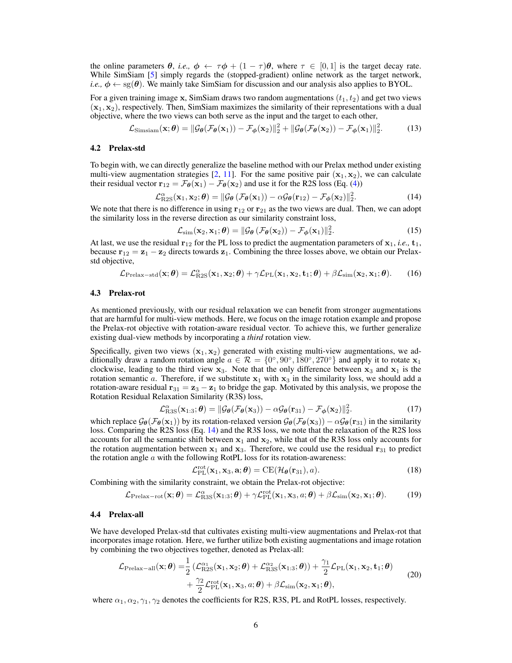<span id="page-5-2"></span>the online parameters  $\theta$ , *i.e.*,  $\phi \leftarrow \tau \phi + (1 - \tau) \theta$ , where  $\tau \in [0, 1]$  is the target decay rate. While SimSiam [\[5\]](#page-10-8) simply regards the (stopped-gradient) online network as the target network, *i.e.,*  $\phi \leftarrow sg(\theta)$ . We mainly take SimSiam for discussion and our analysis also applies to BYOL.

For a given training image x, SimSiam draws two random augmentations  $(t_1, t_2)$  and get two views  $(x_1, x_2)$ , respectively. Then, SimSiam maximizes the similarity of their representations with a dual objective, where the two views can both serve as the input and the target to each other,

<span id="page-5-1"></span>
$$
\mathcal{L}_{\text{Simsiam}}(\mathbf{x};\boldsymbol{\theta}) = \|\mathcal{G}_{\boldsymbol{\theta}}(\mathcal{F}_{\boldsymbol{\theta}}(\mathbf{x}_1)) - \mathcal{F}_{\boldsymbol{\phi}}(\mathbf{x}_2)\|_2^2 + \|\mathcal{G}_{\boldsymbol{\theta}}(\mathcal{F}_{\boldsymbol{\theta}}(\mathbf{x}_2)) - \mathcal{F}_{\boldsymbol{\phi}}(\mathbf{x}_1)\|_2^2.
$$
 (13)

#### 4.2 Prelax-std

To begin with, we can directly generalize the baseline method with our Prelax method under existing multi-view augmentation strategies [\[2,](#page-10-3) [11\]](#page-10-7). For the same positive pair  $(x_1, x_2)$ , we can calculate their residual vector  $\mathbf{r}_{12} = \mathcal{F}_{\theta}(\mathbf{x}_1) - \mathcal{F}_{\theta}(\mathbf{x}_2)$  and use it for the R2S loss (Eq. [\(4\)](#page-3-1))

<span id="page-5-0"></span>
$$
\mathcal{L}^{\alpha}_{\text{R2S}}(\mathbf{x}_1, \mathbf{x}_2; \boldsymbol{\theta}) = ||\mathcal{G}_{\boldsymbol{\theta}}(\mathcal{F}_{\boldsymbol{\theta}}(\mathbf{x}_1)) - \alpha \mathcal{G}_{\boldsymbol{\theta}}(\mathbf{r}_{12}) - \mathcal{F}_{\boldsymbol{\phi}}(\mathbf{x}_2)||_2^2.
$$
 (14)

We note that there is no difference in using  $r_{12}$  or  $r_{21}$  as the two views are dual. Then, we can adopt the similarity loss in the reverse direction as our similarity constraint loss,

$$
\mathcal{L}_{sim}(\mathbf{x}_2, \mathbf{x}_1; \boldsymbol{\theta}) = ||\mathcal{G}_{\boldsymbol{\theta}}(\mathcal{F}_{\boldsymbol{\theta}}(\mathbf{x}_2)) - \mathcal{F}_{\boldsymbol{\phi}}(\mathbf{x}_1)||_2^2.
$$
 (15)

At last, we use the residual  $r_{12}$  for the PL loss to predict the augmentation parameters of  $x_1$ , *i.e.*,  $t_1$ , because  $\mathbf{r}_{12} = \mathbf{z}_1 - \mathbf{z}_2$  directs towards  $\mathbf{z}_1$ . Combining the three losses above, we obtain our Prelaxstd objective,

$$
\mathcal{L}_{\text{Prelax-std}}(\mathbf{x};\boldsymbol{\theta}) = \mathcal{L}_{\text{R2S}}^{\alpha}(\mathbf{x}_1,\mathbf{x}_2;\boldsymbol{\theta}) + \gamma \mathcal{L}_{\text{PL}}(\mathbf{x}_1,\mathbf{x}_2,\mathbf{t}_1;\boldsymbol{\theta}) + \beta \mathcal{L}_{\text{sim}}(\mathbf{x}_2,\mathbf{x}_1;\boldsymbol{\theta}).
$$
 (16)

#### 4.3 Prelax-rot

As mentioned previously, with our residual relaxation we can benefit from stronger augmentations that are harmful for multi-view methods. Here, we focus on the image rotation example and propose the Prelax-rot objective with rotation-aware residual vector. To achieve this, we further generalize existing dual-view methods by incorporating a *third* rotation view.

Specifically, given two views  $(x_1, x_2)$  generated with existing multi-view augmentations, we additionally draw a random rotation angle  $a \in \mathcal{R} = \{0^\circ, 90^\circ, 180^\circ, 270^\circ\}$  and apply it to rotate  $\mathbf{x}_1$ clockwise, leading to the third view  $x_3$ . Note that the only difference between  $x_3$  and  $x_1$  is the rotation semantic a. Therefore, if we substitute  $x_1$  with  $x_3$  in the similarity loss, we should add a rotation-aware residual  $\mathbf{r}_{31} = \mathbf{z}_3 - \mathbf{z}_1$  to bridge the gap. Motivated by this analysis, we propose the Rotation Residual Relaxation Similarity (R3S) loss,

$$
\mathcal{L}_{\text{R3S}}^{\alpha}(\mathbf{x}_{1:3};\boldsymbol{\theta}) = ||\mathcal{G}_{\boldsymbol{\theta}}(\mathcal{F}_{\boldsymbol{\theta}}(\mathbf{x}_{3})) - \alpha \mathcal{G}_{\boldsymbol{\theta}}(\mathbf{r}_{31}) - \mathcal{F}_{\boldsymbol{\phi}}(\mathbf{x}_{2})||_{2}^{2}.
$$
 (17)

which replace  $\mathcal{G}_{\theta}(\mathcal{F}_{\theta}(\mathbf{x}_1))$  by its rotation-relaxed version  $\mathcal{G}_{\theta}(\mathcal{F}_{\theta}(\mathbf{x}_3)) - \alpha \mathcal{G}_{\theta}(\mathbf{r}_{31})$  in the similarity loss. Comparing the R2S loss (Eq. [14\)](#page-5-0) and the R3S loss, we note that the relaxation of the R2S loss accounts for all the semantic shift between  $x_1$  and  $x_2$ , while that of the R3S loss only accounts for the rotation augmentation between  $x_1$  and  $x_3$ . Therefore, we could use the residual  $r_{31}$  to predict the rotation angle  $\alpha$  with the following RotPL loss for its rotation-awareness:

$$
\mathcal{L}_{\text{PL}}^{\text{rot}}(\mathbf{x}_1, \mathbf{x}_3, \mathbf{a}; \boldsymbol{\theta}) = \text{CE}(\mathcal{H}_{\boldsymbol{\theta}}(\mathbf{r}_{31}), a). \tag{18}
$$

Combining with the similarity constraint, we obtain the Prelax-rot objective:

$$
\mathcal{L}_{\text{Prelax-rot}}(\mathbf{x};\boldsymbol{\theta}) = \mathcal{L}_{\text{R3S}}^{\alpha}(\mathbf{x}_{1:3};\boldsymbol{\theta}) + \gamma \mathcal{L}_{\text{PL}}^{\text{rot}}(\mathbf{x}_{1},\mathbf{x}_{3},a;\boldsymbol{\theta}) + \beta \mathcal{L}_{\text{sim}}(\mathbf{x}_{2},\mathbf{x}_{1};\boldsymbol{\theta}).
$$
 (19)

## 4.4 Prelax-all

We have developed Prelax-std that cultivates existing multi-view augmentations and Prelax-rot that incorporates image rotation. Here, we further utilize both existing augmentations and image rotation by combining the two objectives together, denoted as Prelax-all:

$$
\mathcal{L}_{\text{Prelax-all}}(\mathbf{x};\boldsymbol{\theta}) = \frac{1}{2} \left( \mathcal{L}_{\text{R2S}}^{\alpha_1}(\mathbf{x}_1, \mathbf{x}_2; \boldsymbol{\theta}) + \mathcal{L}_{\text{R3S}}^{\alpha_2}(\mathbf{x}_{1:3}; \boldsymbol{\theta}) \right) + \frac{\gamma_1}{2} \mathcal{L}_{\text{PL}}(\mathbf{x}_1, \mathbf{x}_2, \mathbf{t}_1; \boldsymbol{\theta}) + \frac{\gamma_2}{2} \mathcal{L}_{\text{PL}}^{\text{rot}}(\mathbf{x}_1, \mathbf{x}_3, a; \boldsymbol{\theta}) + \beta \mathcal{L}_{\text{sim}}(\mathbf{x}_2, \mathbf{x}_1; \boldsymbol{\theta}),
$$
\n(20)

where  $\alpha_1, \alpha_2, \gamma_1, \gamma_2$  denotes the coefficients for R2S, R3S, PL and RotPL losses, respectively.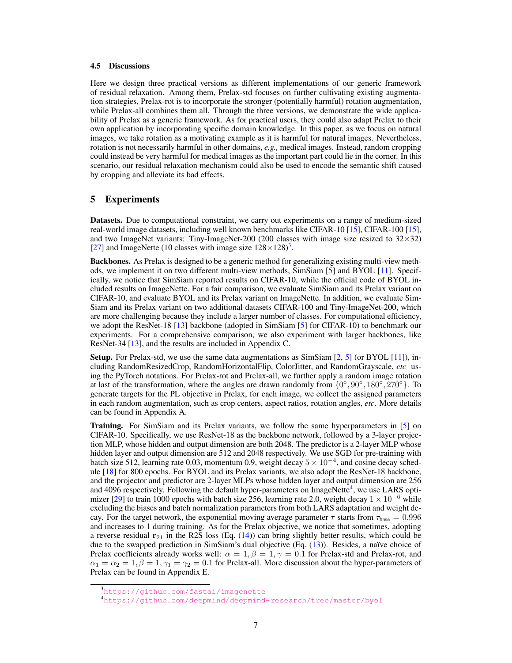#### <span id="page-6-2"></span>4.5 Discussions

Here we design three practical versions as different implementations of our generic framework of residual relaxation. Among them, Prelax-std focuses on further cultivating existing augmentation strategies, Prelax-rot is to incorporate the stronger (potentially harmful) rotation augmentation, while Prelax-all combines them all. Through the three versions, we demonstrate the wide applicability of Prelax as a generic framework. As for practical users, they could also adapt Prelax to their own application by incorporating specific domain knowledge. In this paper, as we focus on natural images, we take rotation as a motivating example as it is harmful for natural images. Nevertheless, rotation is not necessarily harmful in other domains, *e.g.,* medical images. Instead, random cropping could instead be very harmful for medical images as the important part could lie in the corner. In this scenario, our residual relaxation mechanism could also be used to encode the semantic shift caused by cropping and alleviate its bad effects.

## 5 Experiments

Datasets. Due to computational constraint, we carry out experiments on a range of medium-sized real-world image datasets, including well known benchmarks like CIFAR-10 [\[15\]](#page-10-15), CIFAR-100 [\[15\]](#page-10-15), and two ImageNet variants: Tiny-ImageNet-200 (200 classes with image size resized to  $32\times32$ ) [\[27\]](#page-11-7) and ImageNette (10 classes with image size  $128 \times 128$ )<sup>[3](#page-6-0)</sup>.

Backbones. As Prelax is designed to be a generic method for generalizing existing multi-view methods, we implement it on two different multi-view methods, SimSiam [\[5\]](#page-10-8) and BYOL [\[11\]](#page-10-7). Specifically, we notice that SimSiam reported results on CIFAR-10, while the official code of BYOL included results on ImageNette. For a fair comparison, we evaluate SimSiam and its Prelax variant on CIFAR-10, and evaluate BYOL and its Prelax variant on ImageNette. In addition, we evaluate Sim-Siam and its Prelax variant on two additional datasets CIFAR-100 and Tiny-ImageNet-200, which are more challenging because they include a larger number of classes. For computational efficiency, we adopt the ResNet-18 [\[13\]](#page-10-16) backbone (adopted in SimSiam [\[5\]](#page-10-8) for CIFAR-10) to benchmark our experiments. For a comprehensive comparison, we also experiment with larger backbones, like ResNet-34 [\[13\]](#page-10-16), and the results are included in Appendix C.

**Setup.** For Prelax-std, we use the same data augmentations as  $SimSiam [2, 5]$  $SimSiam [2, 5]$  $SimSiam [2, 5]$  $SimSiam [2, 5]$  (or BYOL [\[11\]](#page-10-7)), including RandomResizedCrop, RandomHorizontalFlip, ColorJitter, and RandomGrayscale, *etc* using the PyTorch notations. For Prelax-rot and Prelax-all, we further apply a random image rotation at last of the transformation, where the angles are drawn randomly from  $\{0^\circ, 90^\circ, 180^\circ, 270^\circ\}$ . To generate targets for the PL objective in Prelax, for each image, we collect the assigned parameters in each random augmentation, such as crop centers, aspect ratios, rotation angles, *etc*. More details can be found in Appendix A.

Training. For SimSiam and its Prelax variants, we follow the same hyperparameters in [\[5\]](#page-10-8) on CIFAR-10. Specifically, we use ResNet-18 as the backbone network, followed by a 3-layer projection MLP, whose hidden and output dimension are both 2048. The predictor is a 2-layer MLP whose hidden layer and output dimension are 512 and 2048 respectively. We use SGD for pre-training with batch size 512, learning rate 0.03, momentum 0.9, weight decay  $5 \times 10^{-4}$ , and cosine decay schedule [\[18\]](#page-10-17) for 800 epochs. For BYOL and its Prelax variants, we also adopt the ResNet-18 backbone, and the projector and predictor are 2-layer MLPs whose hidden layer and output dimension are 256 and [4](#page-6-1)096 respectively. Following the default hyper-parameters on ImageNette<sup>4</sup>, we use LARS opti-mizer [\[29\]](#page-11-8) to train 1000 epochs with batch size 256, learning rate 2.0, weight decay  $1 \times 10^{-6}$  while excluding the biases and batch normalization parameters from both LARS adaptation and weight decay. For the target network, the exponential moving average parameter  $\tau$  starts from  $\tau_{\text{base}} = 0.996$ and increases to 1 during training. As for the Prelax objective, we notice that sometimes, adopting a reverse residual  $r_{21}$  in the R2S loss (Eq. [\(14\)](#page-5-0)) can bring slightly better results, which could be due to the swapped prediction in SimSiam's dual objective  $(Eq. (13))$  $(Eq. (13))$  $(Eq. (13))$ . Besides, a naïve choice of Prelax coefficients already works well:  $\alpha = 1, \beta = 1, \gamma = 0.1$  for Prelax-std and Prelax-rot, and  $\alpha_1 = \alpha_2 = 1, \beta = 1, \gamma_1 = \gamma_2 = 0.1$  for Prelax-all. More discussion about the hyper-parameters of Prelax can be found in Appendix E.

<span id="page-6-0"></span><sup>3</sup><https://github.com/fastai/imagenette>

<span id="page-6-1"></span><sup>4</sup><https://github.com/deepmind/deepmind-research/tree/master/byol>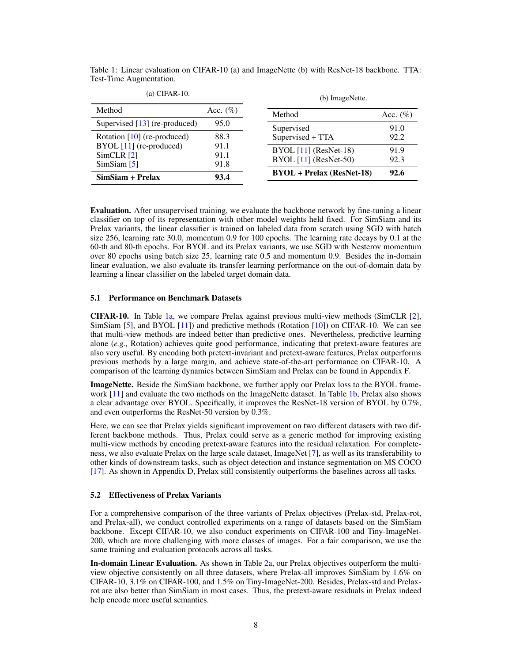| (a) CIFAR-10.                           |              | (b) ImageNette.                                    |              |
|-----------------------------------------|--------------|----------------------------------------------------|--------------|
| Method                                  | Acc. $(\%)$  | Method                                             | Acc. $(\% )$ |
| Supervised $[13]$ (re-produced)         | 95.0         | Supervised                                         | 91.0         |
| Rotation $[10]$ (re-produced)           | 88.3         | Supervised + TTA                                   | 92.2         |
| $BYOL$ [11] (re-produced)<br>SimCLR [2] | 91.1<br>91.1 | $BYOL [11] (ResNet-18)$<br>$BYOL [11] (ResNet-50)$ | 91.9<br>92.3 |
| SimSiam [5]<br>SimSiam + Prelax         | 91.8<br>93.4 | $BYOL + Prelax (ResNet-18)$                        | 92.6         |
|                                         |              |                                                    |              |

<span id="page-7-1"></span><span id="page-7-0"></span>Table 1: Linear evaluation on CIFAR-10 (a) and ImageNette (b) with ResNet-18 backbone. TTA: Test-Time Augmentation.

Evaluation. After unsupervised training, we evaluate the backbone network by fine-tuning a linear classifier on top of its representation with other model weights held fixed. For SimSiam and its Prelax variants, the linear classifier is trained on labeled data from scratch using SGD with batch size 256, learning rate 30.0, momentum 0.9 for 100 epochs. The learning rate decays by 0.1 at the 60-th and 80-th epochs. For BYOL and its Prelax variants, we use SGD with Nesterov momentum over 80 epochs using batch size 25, learning rate 0.5 and momentum 0.9. Besides the in-domain linear evaluation, we also evaluate its transfer learning performance on the out-of-domain data by learning a linear classifier on the labeled target domain data.

#### 5.1 Performance on Benchmark Datasets

 $\alpha$  CIFAC-10.

CIFAR-10. In Table [1a,](#page-7-0) we compare Prelax against previous multi-view methods (SimCLR [\[2\]](#page-10-3), SimSiam [\[5\]](#page-10-8), and BYOL [\[11\]](#page-10-7)) and predictive methods (Rotation [\[10\]](#page-10-9)) on CIFAR-10. We can see that multi-view methods are indeed better than predictive ones. Nevertheless, predictive learning alone (*e.g.,* Rotation) achieves quite good performance, indicating that pretext-aware features are also very useful. By encoding both pretext-invariant and pretext-aware features, Prelax outperforms previous methods by a large margin, and achieve state-of-the-art performance on CIFAR-10. A comparison of the learning dynamics between SimSiam and Prelax can be found in Appendix F.

ImageNette. Beside the SimSiam backbone, we further apply our Prelax loss to the BYOL frame-work [\[11\]](#page-10-7) and evaluate the two methods on the ImageNette dataset. In Table [1b,](#page-7-0) Prelax also shows a clear advantage over BYOL. Specifically, it improves the ResNet-18 version of BYOL by 0.7%, and even outperforms the ResNet-50 version by 0.3%.

Here, we can see that Prelax yields significant improvement on two different datasets with two different backbone methods. Thus, Prelax could serve as a generic method for improving existing multi-view methods by encoding pretext-aware features into the residual relaxation. For completeness, we also evaluate Prelax on the large scale dataset, ImageNet [\[7\]](#page-10-18), as well as its transferability to other kinds of downstream tasks, such as object detection and instance segmentation on MS COCO [\[17\]](#page-10-19). As shown in Appendix D, Prelax still consistently outperforms the baselines across all tasks.

#### 5.2 Effectiveness of Prelax Variants

For a comprehensive comparison of the three variants of Prelax objectives (Prelax-std, Prelax-rot, and Prelax-all), we conduct controlled experiments on a range of datasets based on the SimSiam backbone. Except CIFAR-10, we also conduct experiments on CIFAR-100 and Tiny-ImageNet-200, which are more challenging with more classes of images. For a fair comparison, we use the same training and evaluation protocols across all tasks.

In-domain Linear Evaluation. As shown in Table [2a,](#page-8-0) our Prelax objectives outperform the multiview objective consistently on all three datasets, where Prelax-all improves SimSiam by 1.6% on CIFAR-10, 3.1% on CIFAR-100, and 1.5% on Tiny-ImageNet-200. Besides, Prelax-std and Prelaxrot are also better than SimSiam in most cases. Thus, the pretext-aware residuals in Prelax indeed help encode more useful semantics.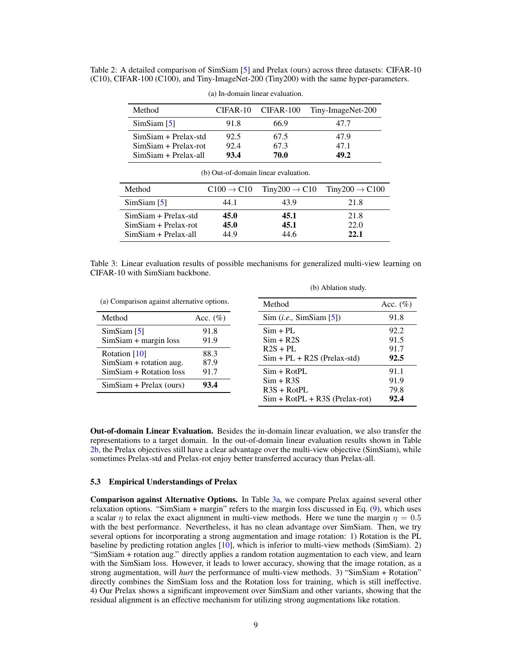<span id="page-8-2"></span><span id="page-8-0"></span>Table 2: A detailed comparison of SimSiam [\[5\]](#page-10-8) and Prelax (ours) across three datasets: CIFAR-10 (C10), CIFAR-100 (C100), and Tiny-ImageNet-200 (Tiny200) with the same hyper-parameters.

| Method                 | CIFAR-10 | CIFAR-100 | Tiny-ImageNet-200 |
|------------------------|----------|-----------|-------------------|
| SimSiam [5]            | 91.8     | 66.9      | 47 7              |
| $SimSiam + Prelax-std$ | 92.5     | 67.5      | 47.9              |
| $SimSiam + Prelax-rot$ | 92.4     | 67.3      | 47.1              |
| SimSiam + Prelax-all   | 93.4     | 70.0      | 49.2              |

(a) In-domain linear evaluation.

| (b) Out-of-domain linear evaluation.                                       |                        |                           |                            |  |  |  |
|----------------------------------------------------------------------------|------------------------|---------------------------|----------------------------|--|--|--|
| Method                                                                     | $C100 \rightarrow C10$ | $Tiny200 \rightarrow C10$ | $Tiny200 \rightarrow C100$ |  |  |  |
| SimSiam [5]                                                                | 44.1                   | 43.9                      | 21.8                       |  |  |  |
| $SimSiam + Prelax-std$<br>$SimSiam + Prelax-rot$<br>$SimSiam + Prelax-all$ | 45.0<br>45.0<br>44.9   | 45.1<br>45.1<br>44.6      | 21.8<br>22.0<br>22.1       |  |  |  |

<span id="page-8-1"></span>Table 3: Linear evaluation results of possible mechanisms for generalized multi-view learning on CIFAR-10 with SimSiam backbone.

(b) Ablation study.

| (a) Comparison against alternative options.                |              | Method                                      | Acc. $(\% )$ |
|------------------------------------------------------------|--------------|---------------------------------------------|--------------|
| Method                                                     | Acc. $(\%)$  | Sim(i.e., SimSiam [5])                      | 91.8         |
| SimSiam [5]<br>$SimSiam + margin loss$                     | 91.8<br>91.9 | $Sim + PL$<br>$Sim + R2S$                   | 92.2<br>91.5 |
| 88.3<br>Rotation [10]<br>87.9<br>$SimSiam + rotation$ aug. |              | $R2S + PL$<br>$Sim + PL + R2S$ (Prelax-std) | 91.7<br>92.5 |
| SimSiam + Rotation loss                                    | 91.7         | $Sim + RotPL$                               | 91.1         |
| $SimSiam + Prelax (ours)$                                  | 93.4         | $Sim + R3S$<br>$R3S + RotPL$                | 91.9<br>79.8 |
|                                                            |              | $Sim + RotPL + R3S$ (Prelax-rot)            | 92.4         |

Out-of-domain Linear Evaluation. Besides the in-domain linear evaluation, we also transfer the representations to a target domain. In the out-of-domain linear evaluation results shown in Table [2b,](#page-8-0) the Prelax objectives still have a clear advantage over the multi-view objective (SimSiam), while sometimes Prelax-std and Prelax-rot enjoy better transferred accuracy than Prelax-all.

#### 5.3 Empirical Understandings of Prelax

Comparison against Alternative Options. In Table [3a,](#page-8-1) we compare Prelax against several other relaxation options. "SimSiam + margin" refers to the margin loss discussed in Eq. [\(9\)](#page-3-4), which uses a scalar  $\eta$  to relax the exact alignment in multi-view methods. Here we tune the margin  $\eta = 0.5$ with the best performance. Nevertheless, it has no clean advantage over SimSiam. Then, we try several options for incorporating a strong augmentation and image rotation: 1) Rotation is the PL baseline by predicting rotation angles [\[10\]](#page-10-9), which is inferior to multi-view methods (SimSiam). 2) "SimSiam + rotation aug." directly applies a random rotation augmentation to each view, and learn with the SimSiam loss. However, it leads to lower accuracy, showing that the image rotation, as a strong augmentation, will *hurt* the performance of multi-view methods. 3) "SimSiam + Rotation" directly combines the SimSiam loss and the Rotation loss for training, which is still ineffective. 4) Our Prelax shows a significant improvement over SimSiam and other variants, showing that the residual alignment is an effective mechanism for utilizing strong augmentations like rotation.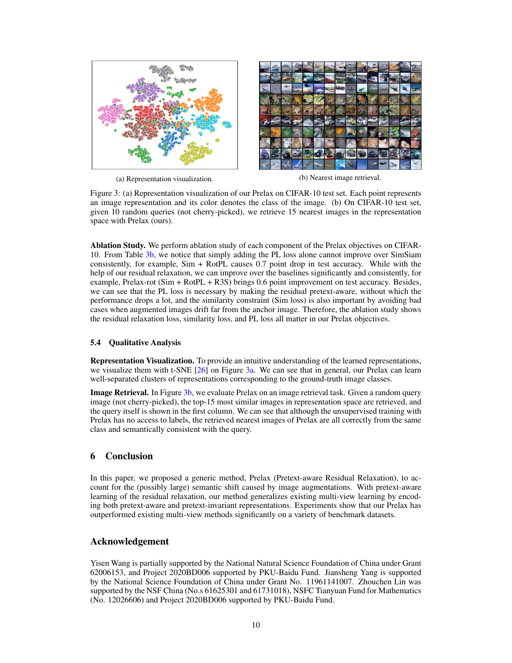<span id="page-9-1"></span><span id="page-9-0"></span>

(a) Representation visualization. (b) Nearest image retrieval.

Figure 3: (a) Representation visualization of our Prelax on CIFAR-10 test set. Each point represents an image representation and its color denotes the class of the image. (b) On CIFAR-10 test set, given 10 random queries (not cherry-picked), we retrieve 15 nearest images in the representation space with Prelax (ours).

Ablation Study. We perform ablation study of each component of the Prelax objectives on CIFAR-10. From Table [3b,](#page-8-1) we notice that simply adding the PL loss alone cannot improve over SimSiam consistently, for example, Sim + RotPL causes 0.7 point drop in test accuracy. While with the help of our residual relaxation, we can improve over the baselines significantly and consistently, for example, Prelax-rot (Sim + RotPL + R3S) brings 0.6 point improvement on test accuracy. Besides, we can see that the PL loss is necessary by making the residual pretext-aware, without which the performance drops a lot, and the similarity constraint (Sim loss) is also important by avoiding bad cases when augmented images drift far from the anchor image. Therefore, the ablation study shows the residual relaxation loss, similarity loss, and PL loss all matter in our Prelax objectives.

## 5.4 Qualitative Analysis

Representation Visualization. To provide an intuitive understanding of the learned representations, we visualize them with t-SNE [\[26\]](#page-11-9) on Figure [3a.](#page-9-0) We can see that in general, our Prelax can learn well-separated clusters of representations corresponding to the ground-truth image classes.

Image Retrieval. In Figure [3b,](#page-9-0) we evaluate Prelax on an image retrieval task. Given a random query image (not cherry-picked), the top-15 most similar images in representation space are retrieved, and the query itself is shown in the first column. We can see that although the unsupervised training with Prelax has no access to labels, the retrieved nearest images of Prelax are all correctly from the same class and semantically consistent with the query.

# 6 Conclusion

In this paper, we proposed a generic method, Prelax (Pretext-aware Residual Relaxation), to account for the (possibly large) semantic shift caused by image augmentations. With pretext-aware learning of the residual relaxation, our method generalizes existing multi-view learning by encoding both pretext-aware and pretext-invariant representations. Experiments show that our Prelax has outperformed existing multi-view methods significantly on a variety of benchmark datasets.

# Acknowledgement

Yisen Wang is partially supported by the National Natural Science Foundation of China under Grant 62006153, and Project 2020BD006 supported by PKU-Baidu Fund. Jiansheng Yang is supported by the National Science Foundation of China under Grant No. 11961141007. Zhouchen Lin was supported by the NSF China (No.s 61625301 and 61731018), NSFC Tianyuan Fund for Mathematics (No. 12026606) and Project 2020BD006 supported by PKU-Baidu Fund.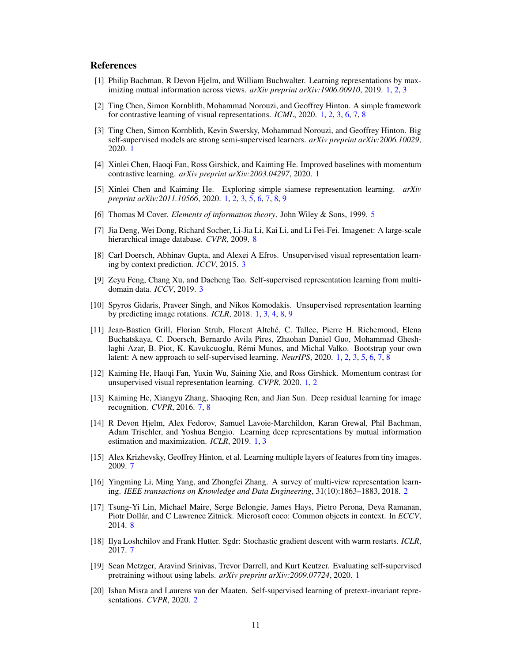# **References**

- <span id="page-10-2"></span>[1] Philip Bachman, R Devon Hjelm, and William Buchwalter. Learning representations by maximizing mutual information across views. *arXiv preprint arXiv:1906.00910*, 2019. [1,](#page-0-0) [2,](#page-1-1) [3](#page-2-1)
- <span id="page-10-3"></span>[2] Ting Chen, Simon Kornblith, Mohammad Norouzi, and Geoffrey Hinton. A simple framework for contrastive learning of visual representations. *ICML*, 2020. [1,](#page-0-0) [2,](#page-1-1) [3,](#page-2-1) [6,](#page-5-2) [7,](#page-6-2) [8](#page-7-1)
- <span id="page-10-5"></span>[3] Ting Chen, Simon Kornblith, Kevin Swersky, Mohammad Norouzi, and Geoffrey Hinton. Big self-supervised models are strong semi-supervised learners. *arXiv preprint arXiv:2006.10029*, 2020. [1](#page-0-0)
- <span id="page-10-6"></span>[4] Xinlei Chen, Haoqi Fan, Ross Girshick, and Kaiming He. Improved baselines with momentum contrastive learning. *arXiv preprint arXiv:2003.04297*, 2020. [1](#page-0-0)
- <span id="page-10-8"></span>[5] Xinlei Chen and Kaiming He. Exploring simple siamese representation learning. *arXiv preprint arXiv:2011.10566*, 2020. [1,](#page-0-0) [2,](#page-1-1) [3,](#page-2-1) [5,](#page-4-2) [6,](#page-5-2) [7,](#page-6-2) [8,](#page-7-1) [9](#page-8-2)
- <span id="page-10-14"></span>[6] Thomas M Cover. *Elements of information theory*. John Wiley & Sons, 1999. [5](#page-4-2)
- <span id="page-10-18"></span>[7] Jia Deng, Wei Dong, Richard Socher, Li-Jia Li, Kai Li, and Li Fei-Fei. Imagenet: A large-scale hierarchical image database. *CVPR*, 2009. [8](#page-7-1)
- <span id="page-10-12"></span>[8] Carl Doersch, Abhinav Gupta, and Alexei A Efros. Unsupervised visual representation learning by context prediction. *ICCV*, 2015. [3](#page-2-1)
- <span id="page-10-13"></span>[9] Zeyu Feng, Chang Xu, and Dacheng Tao. Self-supervised representation learning from multidomain data. *ICCV*, 2019. [3](#page-2-1)
- <span id="page-10-9"></span>[10] Spyros Gidaris, Praveer Singh, and Nikos Komodakis. Unsupervised representation learning by predicting image rotations. *ICLR*, 2018. [1,](#page-0-0) [3,](#page-2-1) [4,](#page-3-5) [8,](#page-7-1) [9](#page-8-2)
- <span id="page-10-7"></span>[11] Jean-Bastien Grill, Florian Strub, Florent Altche, C. Tallec, Pierre H. Richemond, Elena ´ Buchatskaya, C. Doersch, Bernardo Avila Pires, Zhaohan Daniel Guo, Mohammad Gheshlaghi Azar, B. Piot, K. Kavukcuoglu, Rémi Munos, and Michal Valko. Bootstrap your own latent: A new approach to self-supervised learning. *NeurIPS*, 2020. [1,](#page-0-0) [2,](#page-1-1) [3,](#page-2-1) [5,](#page-4-2) [6,](#page-5-2) [7,](#page-6-2) [8](#page-7-1)
- <span id="page-10-4"></span>[12] Kaiming He, Haoqi Fan, Yuxin Wu, Saining Xie, and Ross Girshick. Momentum contrast for unsupervised visual representation learning. *CVPR*, 2020. [1,](#page-0-0) [2](#page-1-1)
- <span id="page-10-16"></span>[13] Kaiming He, Xiangyu Zhang, Shaoqing Ren, and Jian Sun. Deep residual learning for image recognition. *CVPR*, 2016. [7,](#page-6-2) [8](#page-7-1)
- <span id="page-10-1"></span>[14] R Devon Hjelm, Alex Fedorov, Samuel Lavoie-Marchildon, Karan Grewal, Phil Bachman, Adam Trischler, and Yoshua Bengio. Learning deep representations by mutual information estimation and maximization. *ICLR*, 2019. [1,](#page-0-0) [3](#page-2-1)
- <span id="page-10-15"></span>[15] Alex Krizhevsky, Geoffrey Hinton, et al. Learning multiple layers of features from tiny images. 2009. [7](#page-6-2)
- <span id="page-10-10"></span>[16] Yingming Li, Ming Yang, and Zhongfei Zhang. A survey of multi-view representation learning. *IEEE transactions on Knowledge and Data Engineering*, 31(10):1863–1883, 2018. [2](#page-1-1)
- <span id="page-10-19"></span>[17] Tsung-Yi Lin, Michael Maire, Serge Belongie, James Hays, Pietro Perona, Deva Ramanan, Piotr Dollár, and C Lawrence Zitnick. Microsoft coco: Common objects in context. In *ECCV*, 2014. [8](#page-7-1)
- <span id="page-10-17"></span>[18] Ilya Loshchilov and Frank Hutter. Sgdr: Stochastic gradient descent with warm restarts. *ICLR*, 2017. [7](#page-6-2)
- <span id="page-10-0"></span>[19] Sean Metzger, Aravind Srinivas, Trevor Darrell, and Kurt Keutzer. Evaluating self-supervised pretraining without using labels. *arXiv preprint arXiv:2009.07724*, 2020. [1](#page-0-0)
- <span id="page-10-11"></span>[20] Ishan Misra and Laurens van der Maaten. Self-supervised learning of pretext-invariant representations. *CVPR*, 2020. [2](#page-1-1)